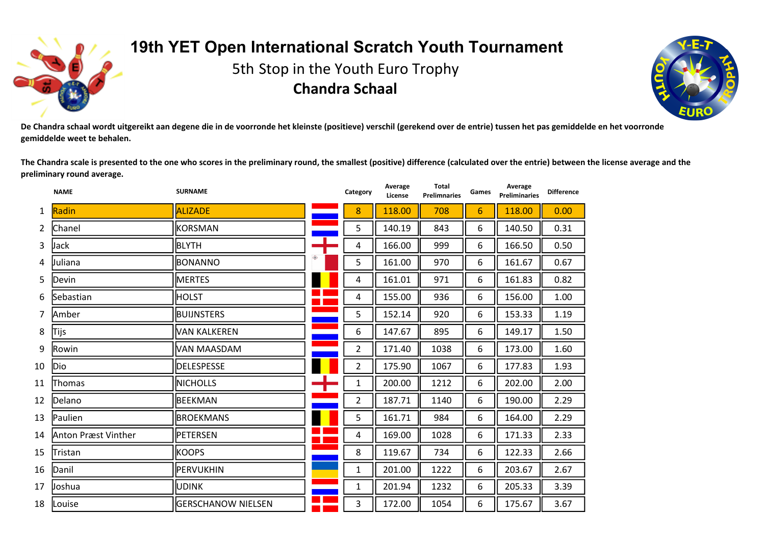

## **19th YET Open International Scratch Youth Tournament**

5th Stop in the Youth Euro Trophy **Chandra Schaal**



De Chandra schaal wordt uitgereikt aan degene die in de voorronde het kleinste (positieve) verschil (gerekend over de entrie) tussen het pas gemiddelde en het voorronde **gemiddelde weet te behalen.**

The Chandra scale is presented to the one who scores in the preliminary round, the smallest (positive) difference (calculated over the entrie) between the license average and the **preliminary round average.**

**Average**

**Total**

|                | <b>NAME</b>         | <b>SURNAME</b>      | Category       | Average<br>License | <b>Total</b><br><b>Prelimnaries</b> | Games          | Average<br><b>Preliminaries</b> | <b>Difference</b> |
|----------------|---------------------|---------------------|----------------|--------------------|-------------------------------------|----------------|---------------------------------|-------------------|
| $\mathbf{1}$   | Radin               | <b>ALIZADE</b>      | 8              | 118.00             | 708                                 | $6\phantom{1}$ | 118.00                          | 0.00              |
| $\mathbf{2}$   | Chanel              | KORSMAN             | 5              | 140.19             | 843                                 | 6              | 140.50                          | 0.31              |
| $\overline{3}$ | Jack                | <b>BLYTH</b>        | 4              | 166.00             | 999                                 | 6              | 166.50                          | 0.50              |
| 4              | Juliana             | <b>BONANNO</b>      | 5              | 161.00             | 970                                 | 6              | 161.67                          | 0.67              |
| 5              | Devin               | <b>MERTES</b>       | 4              | 161.01             | 971                                 | 6              | 161.83                          | 0.82              |
| 6              | Sebastian           | HOLST               | 4              | 155.00             | 936                                 | 6              | 156.00                          | 1.00              |
| $\overline{7}$ | Amber               | <b>BUIJNSTERS</b>   | 5              | 152.14             | 920                                 | 6              | 153.33                          | 1.19              |
| 8              | Tijs                | <b>VAN KALKEREN</b> | 6              | 147.67             | 895                                 | 6              | 149.17                          | 1.50              |
| 9              | Rowin               | VAN MAASDAM         | $\overline{2}$ | 171.40             | 1038                                | 6              | 173.00                          | 1.60              |
| 10             | Dio                 | <b>DELESPESSE</b>   | $\overline{2}$ | 175.90             | 1067                                | 6              | 177.83                          | 1.93              |
| 11             | <b>Thomas</b>       | <b>NICHOLLS</b>     | $\mathbf{1}$   | 200.00             | 1212                                | 6              | 202.00                          | 2.00              |
| 12             | Delano              | BEEKMAN             | $\overline{2}$ | 187.71             | 1140                                | 6              | 190.00                          | 2.29              |
| 13             | Paulien             | <b>BROEKMANS</b>    | 5              | 161.71             | 984                                 | 6              | 164.00                          | 2.29              |
| 14             | Anton Præst Vinther | PETERSEN            | 4              | 169.00             | 1028                                | 6              | 171.33                          | 2.33              |
| 15             | Tristan             | <b>KOOPS</b>        | 8              | 119.67             | 734                                 | 6              | 122.33                          | 2.66              |
| 16             | Danil               | PERVUKHIN           | $\mathbf{1}$   | 201.00             | 1222                                | 6              | 203.67                          | 2.67              |
| 17             | Joshua              | <b>UDINK</b>        | $\mathbf{1}$   | 201.94             | 1232                                | 6              | 205.33                          | 3.39              |
| 18             | Louise              | GERSCHANOW NIELSEN  | 3              | 172.00             | 1054                                | 6              | 175.67                          | 3.67              |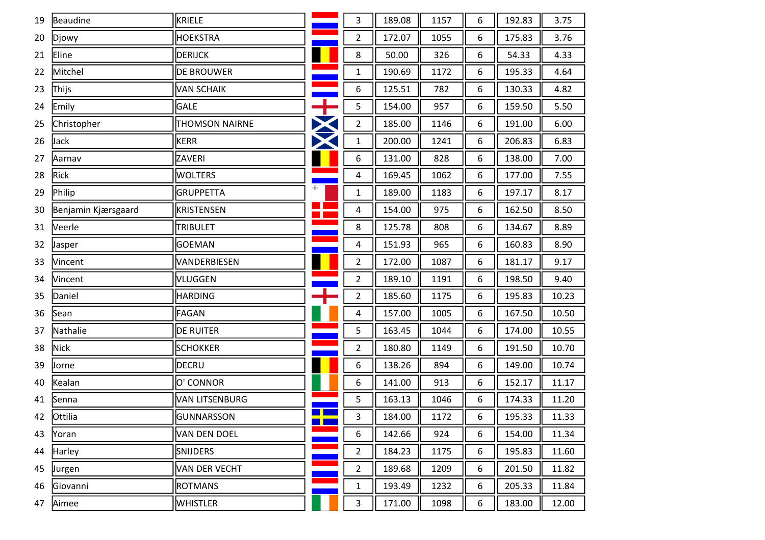| 19 | Beaudine            | KRIELE                |               | 3              | 189.08 | 1157 | 6 | 192.83 | 3.75  |
|----|---------------------|-----------------------|---------------|----------------|--------|------|---|--------|-------|
| 20 | Djowy               | <b>HOEKSTRA</b>       |               | $\overline{2}$ | 172.07 | 1055 | 6 | 175.83 | 3.76  |
| 21 | Eline               | DERIJCK               |               | 8              | 50.00  | 326  | 6 | 54.33  | 4.33  |
| 22 | Mitchel             | <b>DE BROUWER</b>     |               | $\mathbf{1}$   | 190.69 | 1172 | 6 | 195.33 | 4.64  |
| 23 | Thijs               | VAN SCHAIK            |               | 6              | 125.51 | 782  | 6 | 130.33 | 4.82  |
| 24 | Emily               | GALE                  | $\ddot{\pm}$  | 5              | 154.00 | 957  | 6 | 159.50 | 5.50  |
| 25 | Christopher         | <b>THOMSON NAIRNE</b> | $\bm{\times}$ | $\overline{2}$ | 185.00 | 1146 | 6 | 191.00 | 6.00  |
| 26 | Jack                | KERR                  | X             | $\mathbf 1$    | 200.00 | 1241 | 6 | 206.83 | 6.83  |
| 27 | Aarnav              | ZAVERI                |               | 6              | 131.00 | 828  | 6 | 138.00 | 7.00  |
| 28 | Rick                | <b>WOLTERS</b>        |               | 4              | 169.45 | 1062 | 6 | 177.00 | 7.55  |
| 29 | Philip              | <b>GRUPPETTA</b>      |               | $\mathbf{1}$   | 189.00 | 1183 | 6 | 197.17 | 8.17  |
| 30 | Benjamin Kjærsgaard | KRISTENSEN            | <u>e ge</u>   | 4              | 154.00 | 975  | 6 | 162.50 | 8.50  |
| 31 | Veerle              | TRIBULET              |               | 8              | 125.78 | 808  | 6 | 134.67 | 8.89  |
| 32 | Jasper              | <b>GOEMAN</b>         |               | 4              | 151.93 | 965  | 6 | 160.83 | 8.90  |
| 33 | Vincent             | VANDERBIESEN          |               | $\overline{2}$ | 172.00 | 1087 | 6 | 181.17 | 9.17  |
| 34 | <b>Vincent</b>      | VLUGGEN               |               | $\overline{2}$ | 189.10 | 1191 | 6 | 198.50 | 9.40  |
| 35 | Daniel              | <b>HARDING</b>        |               | $\overline{2}$ | 185.60 | 1175 | 6 | 195.83 | 10.23 |
| 36 | Sean                | FAGAN                 |               | 4              | 157.00 | 1005 | 6 | 167.50 | 10.50 |
| 37 | Nathalie            | <b>DE RUITER</b>      |               | 5              | 163.45 | 1044 | 6 | 174.00 | 10.55 |
| 38 | Nick                | <b>SCHOKKER</b>       |               | $\overline{2}$ | 180.80 | 1149 | 6 | 191.50 | 10.70 |
| 39 | Jorne               | DECRU                 |               | 6              | 138.26 | 894  | 6 | 149.00 | 10.74 |
| 40 | Kealan              | O' CONNOR             |               | 6              | 141.00 | 913  | 6 | 152.17 | 11.17 |
| 41 | Senna               | VAN LITSENBURG        |               | 5              | 163.13 | 1046 | 6 | 174.33 | 11.20 |
|    | 42 Ottilia          | GUNNARSSON            |               | 3              | 184.00 | 1172 | 6 | 195.33 | 11.33 |
| 43 | Yoran               | VAN DEN DOEL          |               | 6              | 142.66 | 924  | 6 | 154.00 | 11.34 |
| 44 | Harley              | <b>SNIJDERS</b>       |               | $\overline{2}$ | 184.23 | 1175 | 6 | 195.83 | 11.60 |
| 45 | Jurgen              | VAN DER VECHT         |               | $\overline{2}$ | 189.68 | 1209 | 6 | 201.50 | 11.82 |
| 46 | Giovanni            | <b>ROTMANS</b>        |               | $\mathbf{1}$   | 193.49 | 1232 | 6 | 205.33 | 11.84 |
| 47 | Aimee               | <b>WHISTLER</b>       |               | 3              | 171.00 | 1098 | 6 | 183.00 | 12.00 |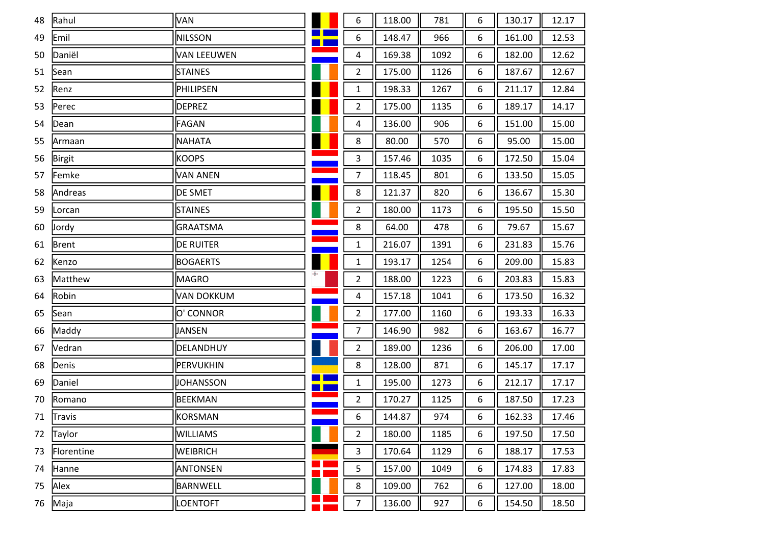| 48 | Rahul      | VAN              |    | 6              | 118.00 | 781  | 6 | 130.17 | 12.17 |
|----|------------|------------------|----|----------------|--------|------|---|--------|-------|
| 49 | Emil       | <b>NILSSON</b>   | ■∎ | 6              | 148.47 | 966  | 6 | 161.00 | 12.53 |
| 50 | Daniël     | VAN LEEUWEN      |    | 4              | 169.38 | 1092 | 6 | 182.00 | 12.62 |
| 51 | Sean       | <b>STAINES</b>   |    | $\overline{2}$ | 175.00 | 1126 | 6 | 187.67 | 12.67 |
| 52 | Renz       | PHILIPSEN        |    | $\mathbf{1}$   | 198.33 | 1267 | 6 | 211.17 | 12.84 |
| 53 | Perec      | <b>DEPREZ</b>    |    | $\overline{2}$ | 175.00 | 1135 | 6 | 189.17 | 14.17 |
| 54 | Dean       | FAGAN            |    | 4              | 136.00 | 906  | 6 | 151.00 | 15.00 |
| 55 | Armaan     | <b>NAHATA</b>    |    | 8              | 80.00  | 570  | 6 | 95.00  | 15.00 |
| 56 | Birgit     | <b>KOOPS</b>     |    | 3              | 157.46 | 1035 | 6 | 172.50 | 15.04 |
| 57 | Femke      | <b>VAN ANEN</b>  |    | $\overline{7}$ | 118.45 | 801  | 6 | 133.50 | 15.05 |
| 58 | Andreas    | <b>DE SMET</b>   |    | $\bf 8$        | 121.37 | 820  | 6 | 136.67 | 15.30 |
| 59 | Lorcan     | <b>STAINES</b>   |    | $\overline{2}$ | 180.00 | 1173 | 6 | 195.50 | 15.50 |
| 60 | Jordy      | <b>GRAATSMA</b>  |    | 8              | 64.00  | 478  | 6 | 79.67  | 15.67 |
| 61 | Brent      | <b>DE RUITER</b> |    | $\mathbf{1}$   | 216.07 | 1391 | 6 | 231.83 | 15.76 |
| 62 | Kenzo      | <b>BOGAERTS</b>  |    | $\mathbf{1}$   | 193.17 | 1254 | 6 | 209.00 | 15.83 |
| 63 | Matthew    | MAGRO            |    | $\overline{2}$ | 188.00 | 1223 | 6 | 203.83 | 15.83 |
| 64 | Robin      | VAN DOKKUM       |    | 4              | 157.18 | 1041 | 6 | 173.50 | 16.32 |
| 65 | Sean       | O' CONNOR        |    | $\overline{2}$ | 177.00 | 1160 | 6 | 193.33 | 16.33 |
| 66 | Maddy      | JANSEN           |    | 7              | 146.90 | 982  | 6 | 163.67 | 16.77 |
| 67 | Vedran     | DELANDHUY        |    | $\overline{2}$ | 189.00 | 1236 | 6 | 206.00 | 17.00 |
| 68 | Denis      | PERVUKHIN        |    | 8              | 128.00 | 871  | 6 | 145.17 | 17.17 |
| 69 | Daniel     | JOHANSSON        |    | 1              | 195.00 | 1273 | 6 | 212.17 | 17.17 |
| 70 | Romano     | <b>BEEKMAN</b>   |    | $\overline{2}$ | 170.27 | 1125 | 6 | 187.50 | 17.23 |
|    | 71 Travis  | KORSMAN          |    | 6              | 144.87 | 974  | 6 | 162.33 | 17.46 |
| 72 | Taylor     | <b>WILLIAMS</b>  |    | 2              | 180.00 | 1185 | 6 | 197.50 | 17.50 |
| 73 | Florentine | <b>WEIBRICH</b>  |    | 3              | 170.64 | 1129 | 6 | 188.17 | 17.53 |
| 74 | Hanne      | ANTONSEN         |    | 5              | 157.00 | 1049 | 6 | 174.83 | 17.83 |
| 75 | Alex       | <b>BARNWELL</b>  |    | 8              | 109.00 | 762  | 6 | 127.00 | 18.00 |
| 76 | Maja       | LOENTOFT         |    | 7              | 136.00 | 927  | 6 | 154.50 | 18.50 |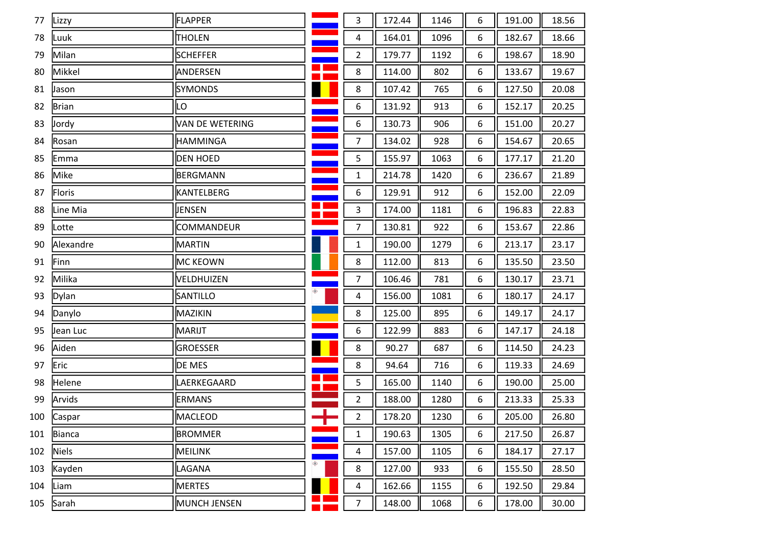| 77  | Lizzy        | FLAPPER         |                                  | 3                       | 172.44 | 1146 | 6 | 191.00 | 18.56 |
|-----|--------------|-----------------|----------------------------------|-------------------------|--------|------|---|--------|-------|
| 78  | Luuk         | <b>THOLEN</b>   |                                  | 4                       | 164.01 | 1096 | 6 | 182.67 | 18.66 |
| 79  | Milan        | <b>SCHEFFER</b> |                                  | $\overline{2}$          | 179.77 | 1192 | 6 | 198.67 | 18.90 |
| 80  | Mikkel       | ANDERSEN        | - 1                              | 8                       | 114.00 | 802  | 6 | 133.67 | 19.67 |
| 81  | Jason        | <b>SYMONDS</b>  |                                  | 8                       | 107.42 | 765  | 6 | 127.50 | 20.08 |
| 82  | <b>Brian</b> | LO              |                                  | 6                       | 131.92 | 913  | 6 | 152.17 | 20.25 |
| 83  | <b>Jordy</b> | VAN DE WETERING |                                  | 6                       | 130.73 | 906  | 6 | 151.00 | 20.27 |
| 84  | Rosan        | <b>HAMMINGA</b> |                                  | $\overline{7}$          | 134.02 | 928  | 6 | 154.67 | 20.65 |
| 85  | Emma         | <b>DEN HOED</b> |                                  | 5                       | 155.97 | 1063 | 6 | 177.17 | 21.20 |
| 86  | Mike         | BERGMANN        |                                  | $\mathbf{1}$            | 214.78 | 1420 | 6 | 236.67 | 21.89 |
| 87  | Floris       | KANTELBERG      |                                  | 6                       | 129.91 | 912  | 6 | 152.00 | 22.09 |
| 88  | Line Mia     | JENSEN          | ╊                                | 3                       | 174.00 | 1181 | 6 | 196.83 | 22.83 |
| 89  | Lotte        | COMMANDEUR      |                                  | 7                       | 130.81 | 922  | 6 | 153.67 | 22.86 |
| 90  | Alexandre    | MARTIN          |                                  | $\mathbf{1}$            | 190.00 | 1279 | 6 | 213.17 | 23.17 |
| 91  | Finn         | MC KEOWN        |                                  | 8                       | 112.00 | 813  | 6 | 135.50 | 23.50 |
| 92  | Milika       | VELDHUIZEN      |                                  | $\overline{7}$          | 106.46 | 781  | 6 | 130.17 | 23.71 |
| 93  | Dylan        | SANTILLO        |                                  | $\overline{4}$          | 156.00 | 1081 | 6 | 180.17 | 24.17 |
| 94  | Danylo       | MAZIKIN         |                                  | 8                       | 125.00 | 895  | 6 | 149.17 | 24.17 |
| 95  | Jean Luc     | MARIJT          |                                  | 6                       | 122.99 | 883  | 6 | 147.17 | 24.18 |
| 96  | Aiden        | GROESSER        |                                  | 8                       | 90.27  | 687  | 6 | 114.50 | 24.23 |
| 97  | Eric         | DE MES          |                                  | 8                       | 94.64  | 716  | 6 | 119.33 | 24.69 |
| 98  | Helene       | LAERKEGAARD     | $\blacksquare$<br>$\blacksquare$ | 5                       | 165.00 | 1140 | 6 | 190.00 | 25.00 |
| 99  | Arvids       | <b>ERMANS</b>   |                                  | $\overline{2}$          | 188.00 | 1280 | 6 | 213.33 | 25.33 |
| 100 | Caspar       | MACLEOD         | ╆                                | $\overline{\mathbf{c}}$ | 178.20 | 1230 | 6 | 205.00 | 26.80 |
| 101 | Bianca       | <b>BROMMER</b>  |                                  | $\mathbf{1}$            | 190.63 | 1305 | 6 | 217.50 | 26.87 |
| 102 | <b>Niels</b> | <b>MEILINK</b>  |                                  | 4                       | 157.00 | 1105 | 6 | 184.17 | 27.17 |
| 103 | Kayden       | LAGANA          |                                  | 8                       | 127.00 | 933  | 6 | 155.50 | 28.50 |
| 104 | Liam         | <b>MERTES</b>   |                                  | 4                       | 162.66 | 1155 | 6 | 192.50 | 29.84 |
| 105 | Sarah        | MUNCH JENSEN    |                                  | $\overline{7}$          | 148.00 | 1068 | 6 | 178.00 | 30.00 |